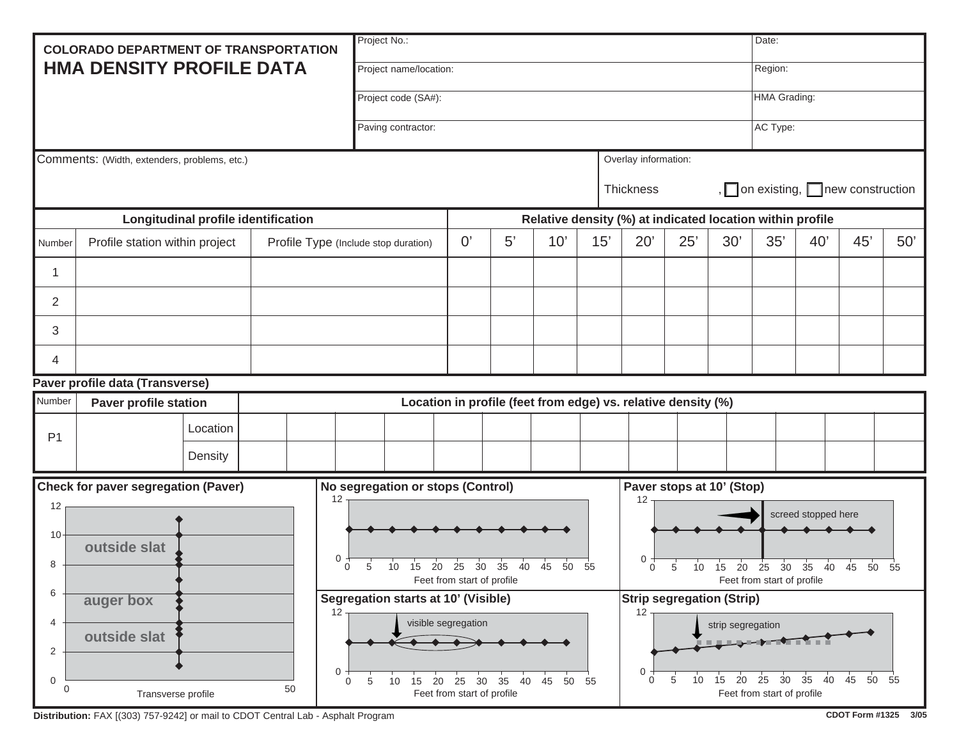| <b>COLORADO DEPARTMENT OF TRANSPORTATION</b>                                             |                                     |          |                                                           |                                                                                                                                                                              | Project No.:                                                                                  |  |    |     |     |                                                                                                                                                                     |                                                                                                                                                              |              |     | Date:    |     |     |  |
|------------------------------------------------------------------------------------------|-------------------------------------|----------|-----------------------------------------------------------|------------------------------------------------------------------------------------------------------------------------------------------------------------------------------|-----------------------------------------------------------------------------------------------|--|----|-----|-----|---------------------------------------------------------------------------------------------------------------------------------------------------------------------|--------------------------------------------------------------------------------------------------------------------------------------------------------------|--------------|-----|----------|-----|-----|--|
| <b>HMA DENSITY PROFILE DATA</b>                                                          |                                     |          |                                                           |                                                                                                                                                                              | Project name/location:                                                                        |  |    |     |     |                                                                                                                                                                     |                                                                                                                                                              |              |     | Region:  |     |     |  |
|                                                                                          |                                     |          | Project code (SA#):                                       |                                                                                                                                                                              |                                                                                               |  |    |     |     |                                                                                                                                                                     |                                                                                                                                                              | HMA Grading: |     |          |     |     |  |
|                                                                                          |                                     |          |                                                           |                                                                                                                                                                              | Paving contractor:                                                                            |  |    |     |     |                                                                                                                                                                     |                                                                                                                                                              |              |     | AC Type: |     |     |  |
| Comments: (Width, extenders, problems, etc.)                                             |                                     |          |                                                           |                                                                                                                                                                              | Overlay information:                                                                          |  |    |     |     |                                                                                                                                                                     |                                                                                                                                                              |              |     |          |     |     |  |
|                                                                                          |                                     |          |                                                           | Thickness                                                                                                                                                                    |                                                                                               |  |    |     |     |                                                                                                                                                                     | , $\Box$ on existing, $\Box$ new construction                                                                                                                |              |     |          |     |     |  |
|                                                                                          | Longitudinal profile identification |          | Relative density (%) at indicated location within profile |                                                                                                                                                                              |                                                                                               |  |    |     |     |                                                                                                                                                                     |                                                                                                                                                              |              |     |          |     |     |  |
| Number                                                                                   | Profile station within project      |          |                                                           | Profile Type (Include stop duration)                                                                                                                                         |                                                                                               |  | 5' | 10' | 15' | 20'                                                                                                                                                                 | 25'                                                                                                                                                          | 30'          | 35' | 40'      | 45' | 50' |  |
| 1                                                                                        |                                     |          |                                                           |                                                                                                                                                                              |                                                                                               |  |    |     |     |                                                                                                                                                                     |                                                                                                                                                              |              |     |          |     |     |  |
| $\overline{2}$                                                                           |                                     |          |                                                           |                                                                                                                                                                              |                                                                                               |  |    |     |     |                                                                                                                                                                     |                                                                                                                                                              |              |     |          |     |     |  |
| 3                                                                                        |                                     |          |                                                           |                                                                                                                                                                              |                                                                                               |  |    |     |     |                                                                                                                                                                     |                                                                                                                                                              |              |     |          |     |     |  |
| 4                                                                                        |                                     |          |                                                           |                                                                                                                                                                              |                                                                                               |  |    |     |     |                                                                                                                                                                     |                                                                                                                                                              |              |     |          |     |     |  |
|                                                                                          | Paver profile data (Transverse)     |          |                                                           |                                                                                                                                                                              |                                                                                               |  |    |     |     |                                                                                                                                                                     |                                                                                                                                                              |              |     |          |     |     |  |
| Number                                                                                   | <b>Paver profile station</b>        |          |                                                           | Location in profile (feet from edge) vs. relative density (%)                                                                                                                |                                                                                               |  |    |     |     |                                                                                                                                                                     |                                                                                                                                                              |              |     |          |     |     |  |
| P <sub>1</sub>                                                                           |                                     | Location |                                                           |                                                                                                                                                                              |                                                                                               |  |    |     |     |                                                                                                                                                                     |                                                                                                                                                              |              |     |          |     |     |  |
|                                                                                          |                                     | Density  |                                                           |                                                                                                                                                                              |                                                                                               |  |    |     |     |                                                                                                                                                                     |                                                                                                                                                              |              |     |          |     |     |  |
| <b>Check for paver segregation (Paver)</b>                                               |                                     |          |                                                           |                                                                                                                                                                              | No segregation or stops (Control)                                                             |  |    |     |     |                                                                                                                                                                     | Paver stops at 10' (Stop)                                                                                                                                    |              |     |          |     |     |  |
| 12<br>10<br>8                                                                            | outside slat                        |          |                                                           | 12<br>0<br>$\Omega$<br>5                                                                                                                                                     | 15 20 25<br>30 <sup>2</sup><br>35<br>40<br>45<br>50<br>10<br>55<br>Feet from start of profile |  |    |     |     | 12<br>screed stopped here<br>0<br>35<br>45<br>15<br>$\overline{20}$<br>25<br>30 <sup>2</sup><br>40<br>10<br>50<br>$\Omega$<br>55<br>5<br>Feet from start of profile |                                                                                                                                                              |              |     |          |     |     |  |
| 6<br>auger box<br>4<br>outside slat<br>2<br>0<br>$\mathbf 0$<br>50<br>Transverse profile |                                     |          |                                                           | Segregation starts at 10' (Visible)<br>12 $\tau$<br>visible segregation<br>$\mathbf 0$<br>10  15  20  25  30<br>35<br>40  45  50  55<br>0<br>5<br>Feet from start of profile |                                                                                               |  |    |     |     | 12 <sub>T</sub><br>$\mathbf 0$<br>0                                                                                                                                 | <b>Strip segregation (Strip)</b><br>strip segregation<br>20<br>25 30<br>35<br>40<br>45<br>50 55<br>5<br>10 <sup>10</sup><br>15<br>Feet from start of profile |              |     |          |     |     |  |

Distribution: FAX [(303) 757-9242] or mail to CDOT Central Lab - Asphalt Program **CDOT** Form #1325 3/05